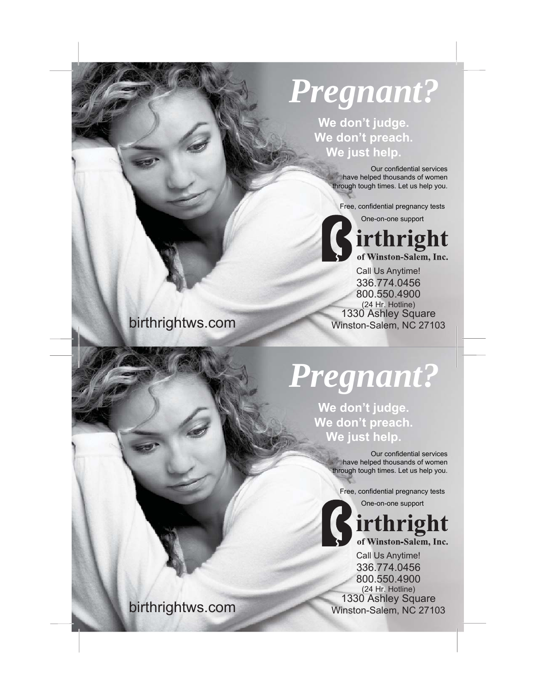## *Pregnant?*

**We don't judge. We don't preach. We just help.**

> Our confidential services have helped thousands of women through tough times. Let us help you.

Free, confidential pregnancy tests





336.774.0456 Call Us Anytime! 800.550.4900 (24 Hr. Hotline)<br>1330 Ashley Square 1330 Ashley Square birthrightws.com Winston-Salem, NC 27103

*Pregnant?*

**We don't judge. We don't preach. We just help.**

> Our confidential services have helped thousands of women through tough times. Let us help you.

Free, confidential pregnancy tests

One-on-one support

irthright of Winston-Salem, Inc.

336.774.0456 Call Us Anytime! 800.550.4900 (24 Hr. Hotline)<br>1330 Ashley Square 1330 Ashley Square birthrightws.com Winston-Salem, NC 27103